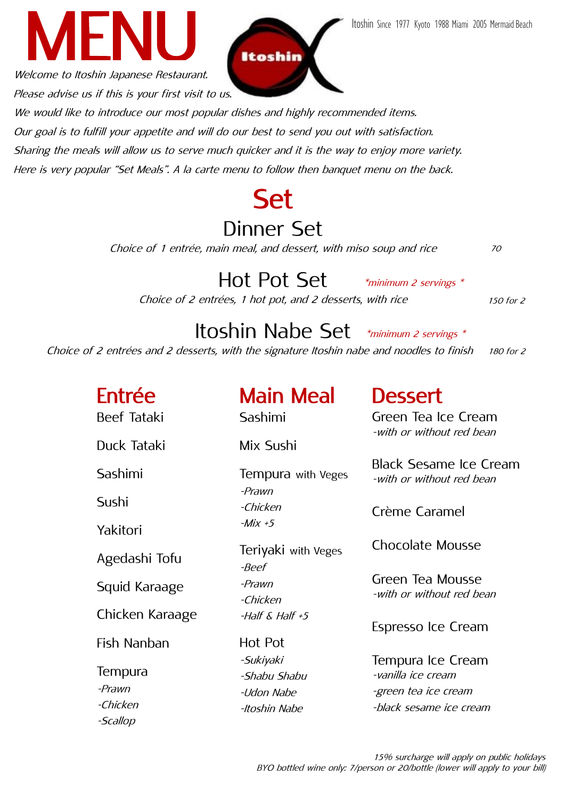Welcome to Itoshin Japanese Restaurant. Please advise us if this is your first visit to us.

We would like to introduce our most popular dishes and highly recommended items. Our goal is to fulfill your appetite and will do our best to send you out with satisfaction. Sharing the meals will allow us to serve much quicker and it is the way to enjoy more variety. Here is very popular "Set Meals". A la carte menu to follow then banquet menu on the back.

# Dinner Set

Itoshin

Choice of 1 entrée, main meal, and dessert, with miso soup and rice

\*minimum 2 servings \* Hot Pot Set Choice of 2 entrées, 1 hot pot, and 2 desserts, with rice

150 for 2

70

#### \*minimum 2 servings \* Itoshin Nabe Set

180 for 2 Choice of 2 entrées and <sup>2</sup> desserts, with the signature Itoshin nabe and noodles to finish

| Entrée<br><b>Beef Tataki</b>  | <b>Main Meal</b><br>Sashimi                              | <b>Dessert</b><br>Green Tea Ice Cream                                                      |
|-------------------------------|----------------------------------------------------------|--------------------------------------------------------------------------------------------|
| Duck Tataki                   | Mix Sushi                                                | -with or without red bean                                                                  |
| Sashimi                       | Tempura with Veges<br>-Prawn                             | <b>Black Sesame Ice Cream</b><br>-with or without red bean                                 |
| Sushi                         | -Chicken                                                 | Crème Caramel                                                                              |
| Yakitori                      | $-Mix + 5$                                               |                                                                                            |
| Agedashi Tofu                 | Teriyaki with Veges<br>-Beef                             | <b>Chocolate Mousse</b>                                                                    |
| Squid Karaage                 | -Prawn<br>-Chicken                                       | Green Tea Mousse<br>-with or without red bean                                              |
| Chicken Karaage               | $-H\ddot{\alpha}$ K Half +5                              | Espresso Ice Cream                                                                         |
| Fish Nanban                   | Hot Pot                                                  |                                                                                            |
| Tempura<br>-Prawn<br>-Chicken | -Sukiyaki<br>-Shabu Shabu<br>-Udon Nabe<br>-Itoshin Nabe | Tempura Ice Cream<br>-vanilla ice cream<br>-green tea ice cream<br>-black sesame ice cream |
| -Scallop                      |                                                          |                                                                                            |



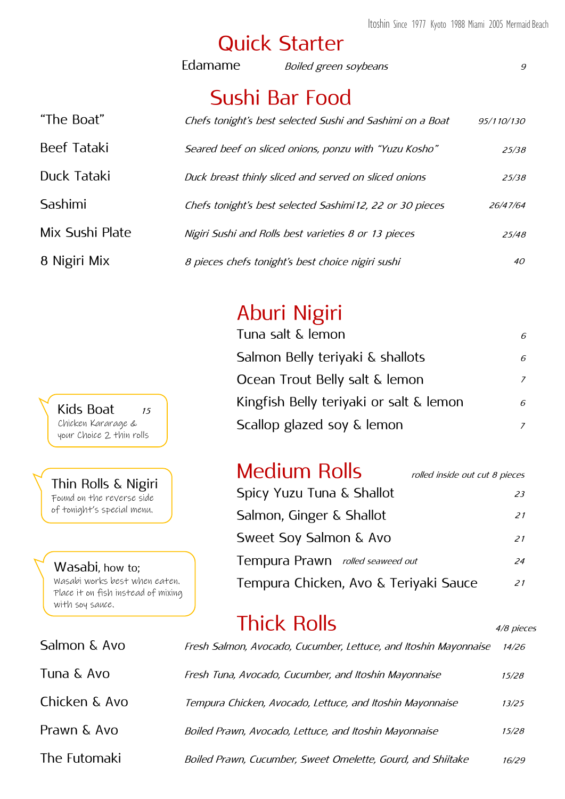### Quick Starter

|                    | Edamame | Boiled green soybeans                                     | 9          |
|--------------------|---------|-----------------------------------------------------------|------------|
|                    |         | Sushi Bar Food                                            |            |
| "The Boat"         |         | Chefs tonight's best selected Sushi and Sashimi on a Boat | 95/110/130 |
| <b>Beef Tataki</b> |         | Seared beef on sliced onions, ponzu with "Yuzu Kosho"     | 25/38      |
| Duck Tataki        |         | Duck breast thinly sliced and served on sliced onions     | 25/38      |
| Sashimi            |         | Chefs tonight's best selected Sashimi 12, 22 or 30 pieces | 26/47/64   |
| Mix Sushi Plate    |         | Nigiri Sushi and Rolls best varieties 8 or 13 pieces      | 25/48      |
| 8 Nigiri Mix       |         | 8 pieces chefs tonight's best choice nigiri sushi         | 40         |

# Aburi Nigiri

| Tuna salt & lemon                       | 6 |
|-----------------------------------------|---|
| Salmon Belly teriyaki & shallots        | 6 |
| Ocean Trout Belly salt & lemon          | 7 |
| Kingfish Belly teriyaki or salt & lemon | 6 |
| Scallop glazed soy & lemon              |   |

#### Kids Boat 15 Chicken Kararage & your Choice 2 thin rolls

Thin Rolls & Nigiri Found on the reverse side of tonight's special menu.

Wasabi, how to; Wasabi works best when eaten. Place it on fish instead of mixing with soy sauce.

Salmon & Avo

#### Medium Rolls

| Medium Rolls                          | rolled inside out cut 8 pieces |
|---------------------------------------|--------------------------------|
| Spicy Yuzu Tuna & Shallot             | 23                             |
| Salmon, Ginger & Shallot              | 21                             |
| Sweet Soy Salmon & Avo                | 21                             |
| Tempura Prawn rolled seaweed out      | 24                             |
| Tempura Chicken, Avo & Teriyaki Sauce | 21                             |

4/8 pieces

# Thick Rolls

| Salmon & Avo  | Fresh Salmon, Avocado, Cucumber, Lettuce, and Itoshin Mayonnaise | 14/26 |
|---------------|------------------------------------------------------------------|-------|
| Tuna & Avo    | Fresh Tuna, Avocado, Cucumber, and Itoshin Mayonnaise            | 15/28 |
| Chicken & Avo | Tempura Chicken, Avocado, Lettuce, and Itoshin Mayonnaise        | 13/25 |
| Prawn & Avo   | Boiled Prawn, Avocado, Lettuce, and Itoshin Mayonnaise           | 15/28 |
| The Futomaki  | Boiled Prawn, Cucumber, Sweet Omelette, Gourd, and Shiitake      | 16/29 |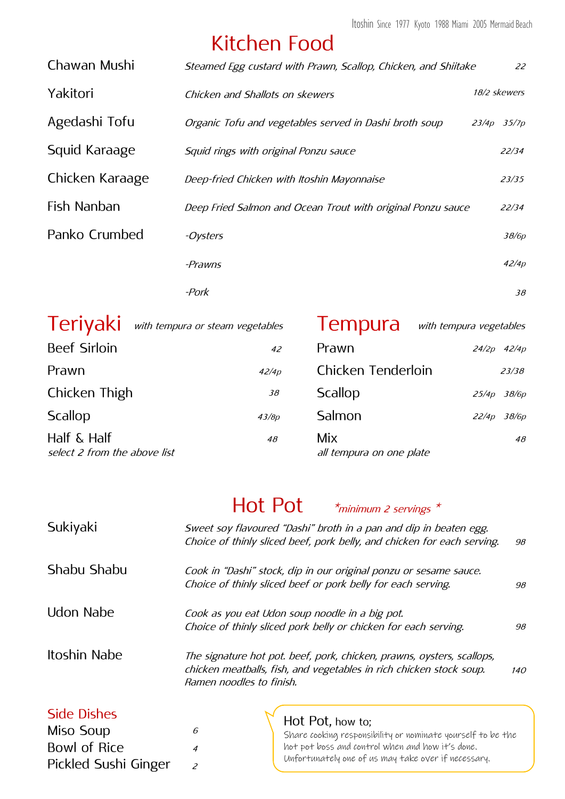### Kitchen Food

| Chawan Mushi    | Steamed Egg custard with Prawn, Scallop, Chicken, and Shiitake | 22              |
|-----------------|----------------------------------------------------------------|-----------------|
| Yakitori        | Chicken and Shallots on skewers                                | 18/2 skewers    |
| Agedashi Tofu   | Organic Tofu and vegetables served in Dashi broth soup         | $23/4p$ $35/7p$ |
| Squid Karaage   | Squid rings with original Ponzu sauce                          | 22/34           |
| Chicken Karaage | Deep-fried Chicken with Itoshin Mayonnaise                     | 23/35           |
| Fish Nanban     | Deep Fried Salmon and Ocean Trout with original Ponzu sauce    | 22/34           |
| Panko Crumbed   | -Oysters                                                       | 38/6p           |
|                 | <i>-Prawns</i>                                                 | 42/4p           |
|                 | -Pork                                                          | 38              |

|                                                | Teriyaki with tempura or steam vegetables | <b>Tempura</b>                  | with tempura vegetables |       |
|------------------------------------------------|-------------------------------------------|---------------------------------|-------------------------|-------|
| <b>Beef Sirloin</b>                            | 42                                        | Prawn                           | $24/2p$ $42/4p$         |       |
| Prawn                                          | 42/4p                                     | Chicken Tenderloin              |                         | 23/38 |
| Chicken Thigh                                  | 38                                        | Scallop                         | 25/4p 38/6p             |       |
| Scallop                                        | 43/8p                                     | Salmon                          | 22/4p 38/6p             |       |
| Half $\&$ Half<br>select 2 from the above list | 48                                        | Mix<br>all tempura on one plate |                         | 48    |

### Hot Pot  $*$ <sub>minimum 2 servings</sub>

| Sukiyaki                                        | Sweet soy flavoured "Dashi" broth in a pan and dip in beaten egg.<br>Choice of thinly sliced beef, pork belly, and chicken for each serving.                              | 98 |
|-------------------------------------------------|---------------------------------------------------------------------------------------------------------------------------------------------------------------------------|----|
| Shabu Shabu                                     | Cook in "Dashi" stock, dip in our original ponzu or sesame sauce.<br>Choice of thinly sliced beef or pork belly for each serving.                                         | 98 |
| Udon Nabe                                       | Cook as you eat Udon soup noodle in a big pot.<br>Choice of thinly sliced pork belly or chicken for each serving.                                                         | 98 |
| Itoshin Nabe                                    | The signature hot pot. beef, pork, chicken, prawns, oysters, scallops,<br>chicken meatballs, fish, and vegetables in rich chicken stock soup.<br>Ramen noodles to finish. |    |
| <b>Side Dishes</b><br>Miso Soup<br>Bowl of Rice | Hot Pot, how to;<br>6<br>Share cooking responsibility or nominate yourself to be the<br>hot pot boss and control when and how it's done.                                  |    |

Pickled Sushi Ginger

2

Unfortunately one of us may take over if necessary.